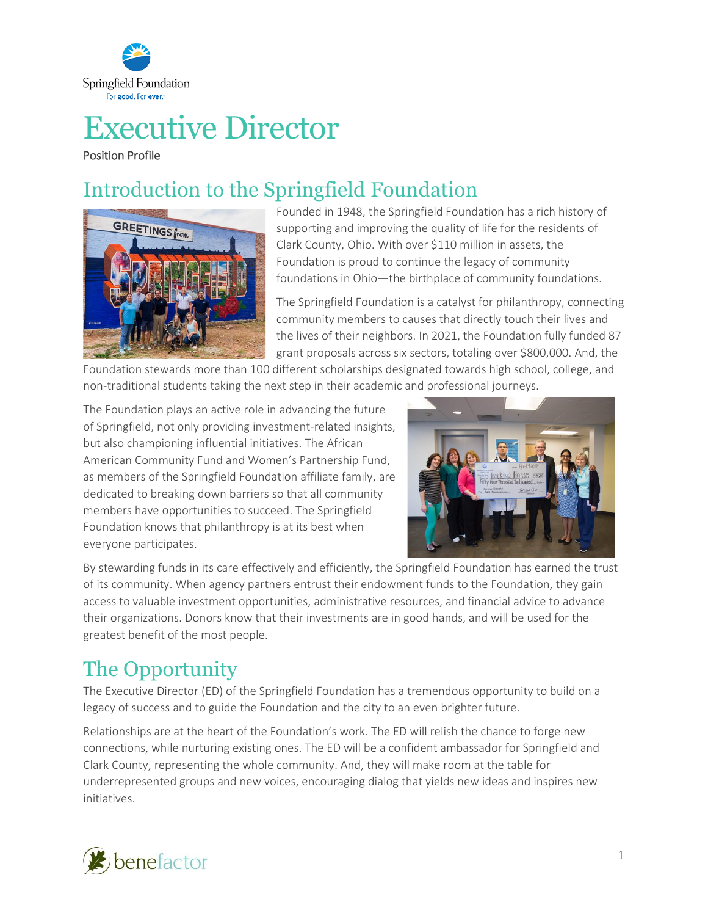

# Executive Director

Position Profile

# Introduction to the Springfield Foundation



Founded in 1948, the Springfield Foundation has a rich history of supporting and improving the quality of life for the residents of Clark County, Ohio. With over \$110 million in assets, the Foundation is proud to continue the legacy of community foundations in Ohio—the birthplace of community foundations.

The Springfield Foundation is a catalyst for philanthropy, connecting community members to causes that directly touch their lives and the lives of their neighbors. In 2021, the Foundation fully funded 87 grant proposals across six sectors, totaling over \$800,000. And, the

Foundation stewards more than 100 different scholarships designated towards high school, college, and non-traditional students taking the next step in their academic and professional journeys.

The Foundation plays an active role in advancing the future of Springfield, not only providing investment-related insights, but also championing influential initiatives. The African American Community Fund and Women's Partnership Fund, as members of the Springfield Foundation affiliate family, are dedicated to breaking down barriers so that all community members have opportunities to succeed. The Springfield Foundation knows that philanthropy is at its best when everyone participates.



By stewarding funds in its care effectively and efficiently, the Springfield Foundation has earned the trust of its community. When agency partners entrust their endowment funds to the Foundation, they gain access to valuable investment opportunities, administrative resources, and financial advice to advance their organizations. Donors know that their investments are in good hands, and will be used for the greatest benefit of the most people.

# The Opportunity

The Executive Director (ED) of the Springfield Foundation has a tremendous opportunity to build on a legacy of success and to guide the Foundation and the city to an even brighter future.

Relationships are at the heart of the Foundation's work. The ED will relish the chance to forge new connections, while nurturing existing ones. The ED will be a confident ambassador for Springfield and Clark County, representing the whole community. And, they will make room at the table for underrepresented groups and new voices, encouraging dialog that yields new ideas and inspires new initiatives.

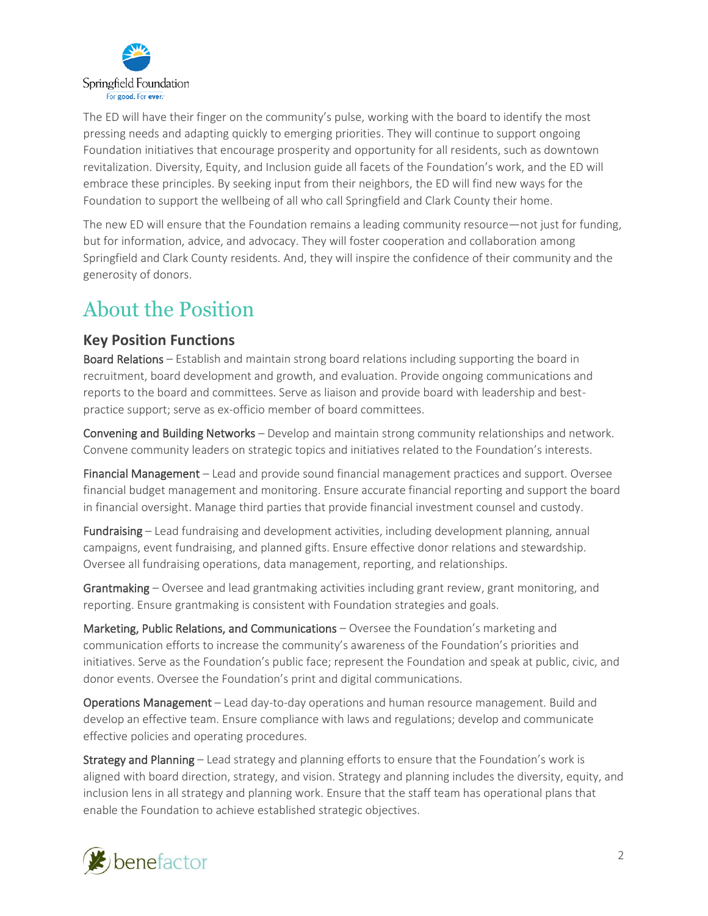

The ED will have their finger on the community's pulse, working with the board to identify the most pressing needs and adapting quickly to emerging priorities. They will continue to support ongoing Foundation initiatives that encourage prosperity and opportunity for all residents, such as downtown revitalization. Diversity, Equity, and Inclusion guide all facets of the Foundation's work, and the ED will embrace these principles. By seeking input from their neighbors, the ED will find new ways for the Foundation to support the wellbeing of all who call Springfield and Clark County their home.

The new ED will ensure that the Foundation remains a leading community resource—not just for funding, but for information, advice, and advocacy. They will foster cooperation and collaboration among Springfield and Clark County residents. And, they will inspire the confidence of their community and the generosity of donors.

### About the Position

#### **Key Position Functions**

Board Relations – Establish and maintain strong board relations including supporting the board in recruitment, board development and growth, and evaluation. Provide ongoing communications and reports to the board and committees. Serve as liaison and provide board with leadership and bestpractice support; serve as ex-officio member of board committees.

Convening and Building Networks – Develop and maintain strong community relationships and network. Convene community leaders on strategic topics and initiatives related to the Foundation's interests.

Financial Management – Lead and provide sound financial management practices and support. Oversee financial budget management and monitoring. Ensure accurate financial reporting and support the board in financial oversight. Manage third parties that provide financial investment counsel and custody.

Fundraising – Lead fundraising and development activities, including development planning, annual campaigns, event fundraising, and planned gifts. Ensure effective donor relations and stewardship. Oversee all fundraising operations, data management, reporting, and relationships.

Grantmaking – Oversee and lead grantmaking activities including grant review, grant monitoring, and reporting. Ensure grantmaking is consistent with Foundation strategies and goals.

Marketing, Public Relations, and Communications – Oversee the Foundation's marketing and communication efforts to increase the community's awareness of the Foundation's priorities and initiatives. Serve as the Foundation's public face; represent the Foundation and speak at public, civic, and donor events. Oversee the Foundation's print and digital communications.

Operations Management – Lead day-to-day operations and human resource management. Build and develop an effective team. Ensure compliance with laws and regulations; develop and communicate effective policies and operating procedures.

Strategy and Planning – Lead strategy and planning efforts to ensure that the Foundation's work is aligned with board direction, strategy, and vision. Strategy and planning includes the diversity, equity, and inclusion lens in all strategy and planning work. Ensure that the staff team has operational plans that enable the Foundation to achieve established strategic objectives.

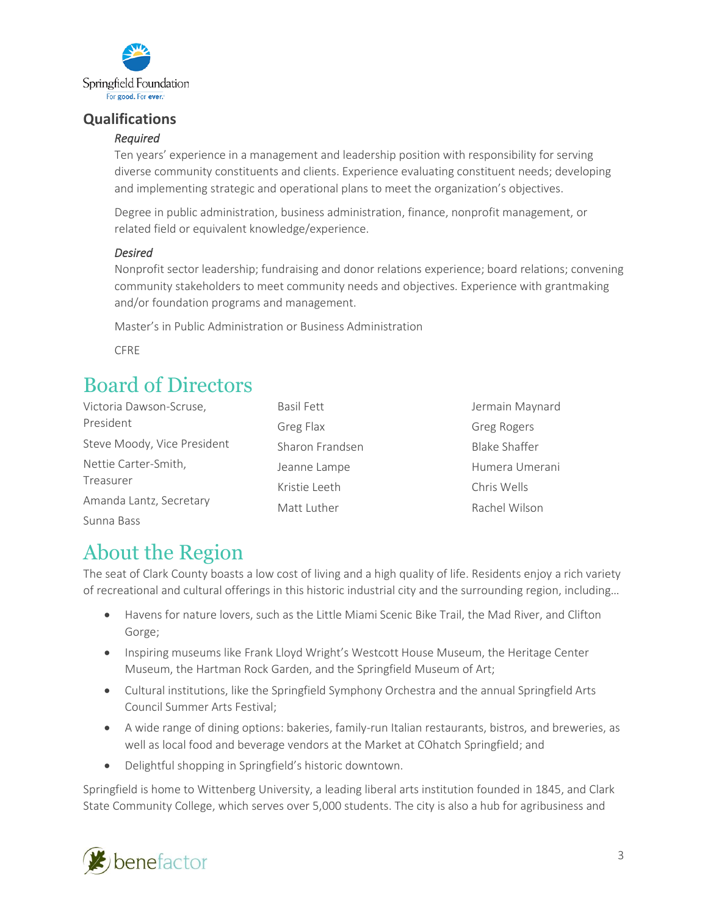

#### **Qualifications**

#### *Required*

Ten years' experience in a management and leadership position with responsibility for serving diverse community constituents and clients. Experience evaluating constituent needs; developing and implementing strategic and operational plans to meet the organization's objectives.

Degree in public administration, business administration, finance, nonprofit management, or related field or equivalent knowledge/experience.

#### *Desired*

Nonprofit sector leadership; fundraising and donor relations experience; board relations; convening community stakeholders to meet community needs and objectives. Experience with grantmaking and/or foundation programs and management.

Master's in Public Administration or Business Administration

CFRE

### Board of Directors

| Victoria Dawson-Scruse,           | <b>Basil Fett</b> | Jermain Maynard      |
|-----------------------------------|-------------------|----------------------|
| President                         | Greg Flax         | <b>Greg Rogers</b>   |
| Steve Moody, Vice President       | Sharon Frandsen   | <b>Blake Shaffer</b> |
| Nettie Carter-Smith,<br>Treasurer | Jeanne Lampe      | Humera Umerani       |
|                                   | Kristie Leeth     | Chris Wells          |
| Amanda Lantz, Secretary           | Matt Luther       | Rachel Wilson        |
| Sunna Bass                        |                   |                      |

### About the Region

The seat of Clark County boasts a low cost of living and a high quality of life. Residents enjoy a rich variety of recreational and cultural offerings in this historic industrial city and the surrounding region, including…

- Havens for nature lovers, such as the Little Miami Scenic Bike Trail, the Mad River, and Clifton Gorge;
- Inspiring museums like Frank Lloyd Wright's Westcott House Museum, the Heritage Center Museum, the Hartman Rock Garden, and the Springfield Museum of Art;
- Cultural institutions, like the Springfield Symphony Orchestra and the annual Springfield Arts Council Summer Arts Festival;
- A wide range of dining options: bakeries, family-run Italian restaurants, bistros, and breweries, as well as local food and beverage vendors at the Market at COhatch Springfield; and
- Delightful shopping in Springfield's historic downtown.

Springfield is home to Wittenberg University, a leading liberal arts institution founded in 1845, and Clark State Community College, which serves over 5,000 students. The city is also a hub for agribusiness and